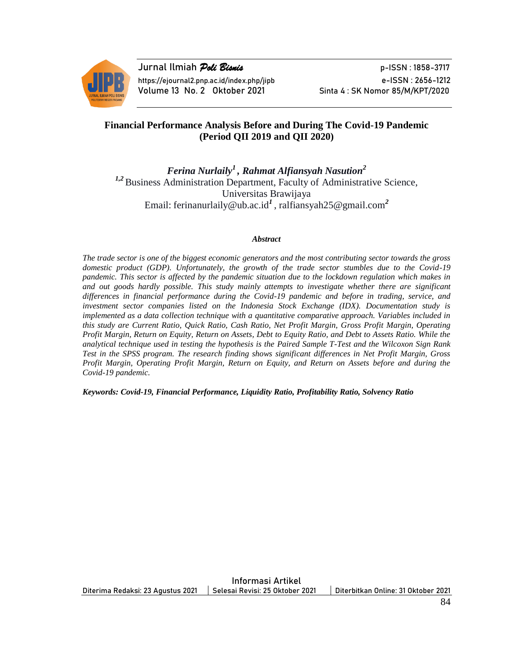

**Jurnal Ilmiah** *Poli Bisnis* p-ISSN : 1858-3717 https://ejournal2.pnp.ac.id/index.php/jipb e-ISSN : 2656-1212 Volume 13 No. 2 Oktober 2021 Sinta 4: SK Nomor 85/M/KPT/2020

# **Financial Performance Analysis Before and During The Covid-19 Pandemic (Period QII 2019 and QII 2020)**

*Ferina Nurlaily<sup>1</sup>, Rahmat Alfiansyah Nasution<sup>2</sup> 1,2* Business Administration Department, Faculty of Administrative Science, Universitas Brawijaya Email: ferinanurlaily@ub.ac.id*<sup>1</sup>*, ralfiansyah25@gmail.com*<sup>2</sup>*

#### *Abstract*

*The trade sector is one of the biggest economic generators and the most contributing sector towards the gross domestic product (GDP). Unfortunately, the growth of the trade sector stumbles due to the Covid-19 pandemic. This sector is affected by the pandemic situation due to the lockdown regulation which makes in and out goods hardly possible. This study mainly attempts to investigate whether there are significant differences in financial performance during the Covid-19 pandemic and before in trading, service, and investment sector companies listed on the Indonesia Stock Exchange (IDX). Documentation study is implemented as a data collection technique with a quantitative comparative approach. Variables included in this study are Current Ratio, Quick Ratio, Cash Ratio, Net Profit Margin, Gross Profit Margin, Operating Profit Margin, Return on Equity, Return on Assets, Debt to Equity Ratio, and Debt to Assets Ratio. While the analytical technique used in testing the hypothesis is the Paired Sample T-Test and the Wilcoxon Sign Rank Test in the SPSS program. The research finding shows significant differences in Net Profit Margin, Gross Profit Margin, Operating Profit Margin, Return on Equity, and Return on Assets before and during the Covid-19 pandemic.*

*Keywords: Covid-19, Financial Performance, Liquidity Ratio, Profitability Ratio, Solvency Ratio*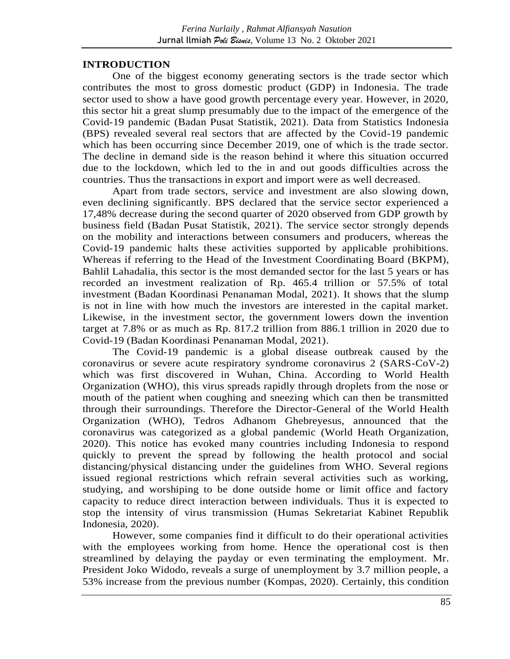## **INTRODUCTION**

One of the biggest economy generating sectors is the trade sector which contributes the most to gross domestic product (GDP) in Indonesia. The trade sector used to show a have good growth percentage every year. However, in 2020, this sector hit a great slump presumably due to the impact of the emergence of the Covid-19 pandemic (Badan Pusat Statistik, 2021). Data from Statistics Indonesia (BPS) revealed several real sectors that are affected by the Covid-19 pandemic which has been occurring since December 2019, one of which is the trade sector. The decline in demand side is the reason behind it where this situation occurred due to the lockdown, which led to the in and out goods difficulties across the countries. Thus the transactions in export and import were as well decreased.

Apart from trade sectors, service and investment are also slowing down, even declining significantly. BPS declared that the service sector experienced a 17,48% decrease during the second quarter of 2020 observed from GDP growth by business field (Badan Pusat Statistik, 2021). The service sector strongly depends on the mobility and interactions between consumers and producers, whereas the Covid-19 pandemic halts these activities supported by applicable prohibitions. Whereas if referring to the Head of the Investment Coordinating Board (BKPM), Bahlil Lahadalia, this sector is the most demanded sector for the last 5 years or has recorded an investment realization of Rp. 465.4 trillion or 57.5% of total investment (Badan Koordinasi Penanaman Modal, 2021). It shows that the slump is not in line with how much the investors are interested in the capital market. Likewise, in the investment sector, the government lowers down the invention target at 7.8% or as much as Rp. 817.2 trillion from 886.1 trillion in 2020 due to Covid-19 (Badan Koordinasi Penanaman Modal, 2021).

The Covid-19 pandemic is a global disease outbreak caused by the coronavirus or severe acute respiratory syndrome coronavirus 2 (SARS-CoV-2) which was first discovered in Wuhan, China. According to World Health Organization (WHO), this virus spreads rapidly through droplets from the nose or mouth of the patient when coughing and sneezing which can then be transmitted through their surroundings. Therefore the Director-General of the World Health Organization (WHO), Tedros Adhanom Ghebreyesus, announced that the coronavirus was categorized as a global pandemic (World Heath Organization, 2020). This notice has evoked many countries including Indonesia to respond quickly to prevent the spread by following the health protocol and social distancing/physical distancing under the guidelines from WHO. Several regions issued regional restrictions which refrain several activities such as working, studying, and worshiping to be done outside home or limit office and factory capacity to reduce direct interaction between individuals. Thus it is expected to stop the intensity of virus transmission (Humas Sekretariat Kabinet Republik Indonesia, 2020).

However, some companies find it difficult to do their operational activities with the employees working from home. Hence the operational cost is then streamlined by delaying the payday or even terminating the employment. Mr. President Joko Widodo, reveals a surge of unemployment by 3.7 million people, a 53% increase from the previous number (Kompas, 2020). Certainly, this condition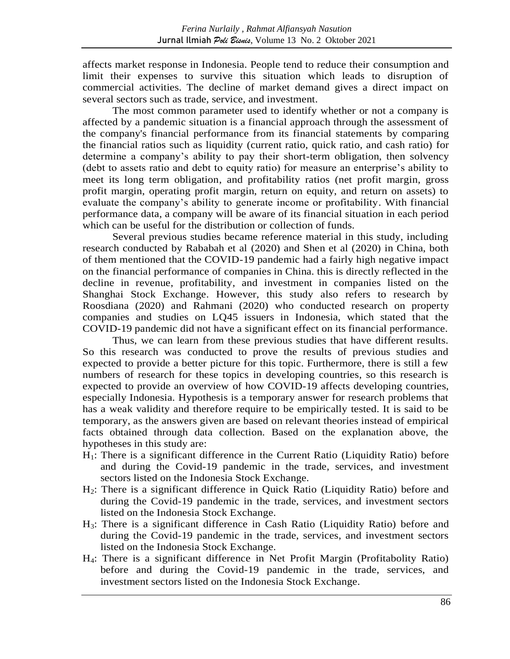affects market response in Indonesia. People tend to reduce their consumption and limit their expenses to survive this situation which leads to disruption of commercial activities. The decline of market demand gives a direct impact on several sectors such as trade, service, and investment.

The most common parameter used to identify whether or not a company is affected by a pandemic situation is a financial approach through the assessment of the company's financial performance from its financial statements by comparing the financial ratios such as liquidity (current ratio, quick ratio, and cash ratio) for determine a company's ability to pay their short-term obligation, then solvency (debt to assets ratio and debt to equity ratio) for measure an enterprise's ability to meet its long term obligation, and profitability ratios (net profit margin, gross profit margin, operating profit margin, return on equity, and return on assets) to evaluate the company's ability to generate income or profitability. With financial performance data, a company will be aware of its financial situation in each period which can be useful for the distribution or collection of funds.

Several previous studies became reference material in this study, including research conducted by Rababah et al (2020) and Shen et al (2020) in China, both of them mentioned that the COVID-19 pandemic had a fairly high negative impact on the financial performance of companies in China. this is directly reflected in the decline in revenue, profitability, and investment in companies listed on the Shanghai Stock Exchange. However, this study also refers to research by Roosdiana (2020) and Rahmani (2020) who conducted research on property companies and studies on LQ45 issuers in Indonesia, which stated that the COVID-19 pandemic did not have a significant effect on its financial performance.

Thus, we can learn from these previous studies that have different results. So this research was conducted to prove the results of previous studies and expected to provide a better picture for this topic. Furthermore, there is still a few numbers of research for these topics in developing countries, so this research is expected to provide an overview of how COVID-19 affects developing countries, especially Indonesia. Hypothesis is a temporary answer for research problems that has a weak validity and therefore require to be empirically tested. It is said to be temporary, as the answers given are based on relevant theories instead of empirical facts obtained through data collection. Based on the explanation above, the hypotheses in this study are:

- H<sub>1</sub>: There is a significant difference in the Current Ratio (Liquidity Ratio) before and during the Covid-19 pandemic in the trade, services, and investment sectors listed on the Indonesia Stock Exchange.
- H2: There is a significant difference in Quick Ratio (Liquidity Ratio) before and during the Covid-19 pandemic in the trade, services, and investment sectors listed on the Indonesia Stock Exchange.
- H3: There is a significant difference in Cash Ratio (Liquidity Ratio) before and during the Covid-19 pandemic in the trade, services, and investment sectors listed on the Indonesia Stock Exchange.
- H4: There is a significant difference in Net Profit Margin (Profitabolity Ratio) before and during the Covid-19 pandemic in the trade, services, and investment sectors listed on the Indonesia Stock Exchange.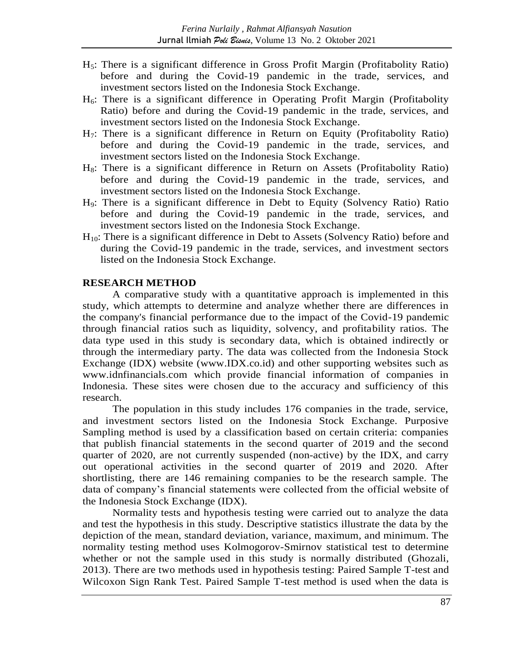- H5: There is a significant difference in Gross Profit Margin (Profitabolity Ratio) before and during the Covid-19 pandemic in the trade, services, and investment sectors listed on the Indonesia Stock Exchange.
- H6: There is a significant difference in Operating Profit Margin (Profitabolity Ratio) before and during the Covid-19 pandemic in the trade, services, and investment sectors listed on the Indonesia Stock Exchange.
- H7: There is a significant difference in Return on Equity (Profitabolity Ratio) before and during the Covid-19 pandemic in the trade, services, and investment sectors listed on the Indonesia Stock Exchange.
- $H_8$ : There is a significant difference in Return on Assets (Profitabolity Ratio) before and during the Covid-19 pandemic in the trade, services, and investment sectors listed on the Indonesia Stock Exchange.
- H9: There is a significant difference in Debt to Equity (Solvency Ratio) Ratio before and during the Covid-19 pandemic in the trade, services, and investment sectors listed on the Indonesia Stock Exchange.
- H10: There is a significant difference in Debt to Assets (Solvency Ratio) before and during the Covid-19 pandemic in the trade, services, and investment sectors listed on the Indonesia Stock Exchange.

## **RESEARCH METHOD**

A comparative study with a quantitative approach is implemented in this study, which attempts to determine and analyze whether there are differences in the company's financial performance due to the impact of the Covid-19 pandemic through financial ratios such as liquidity, solvency, and profitability ratios. The data type used in this study is secondary data, which is obtained indirectly or through the intermediary party. The data was collected from the Indonesia Stock Exchange (IDX) website (www.IDX.co.id) and other supporting websites such as www.idnfinancials.com which provide financial information of companies in Indonesia. These sites were chosen due to the accuracy and sufficiency of this research.

The population in this study includes 176 companies in the trade, service, and investment sectors listed on the Indonesia Stock Exchange. Purposive Sampling method is used by a classification based on certain criteria: companies that publish financial statements in the second quarter of 2019 and the second quarter of 2020, are not currently suspended (non-active) by the IDX, and carry out operational activities in the second quarter of 2019 and 2020. After shortlisting, there are 146 remaining companies to be the research sample. The data of company's financial statements were collected from the official website of the Indonesia Stock Exchange (IDX).

Normality tests and hypothesis testing were carried out to analyze the data and test the hypothesis in this study. Descriptive statistics illustrate the data by the depiction of the mean, standard deviation, variance, maximum, and minimum. The normality testing method uses Kolmogorov-Smirnov statistical test to determine whether or not the sample used in this study is normally distributed (Ghozali, 2013). There are two methods used in hypothesis testing: Paired Sample T-test and Wilcoxon Sign Rank Test. Paired Sample T-test method is used when the data is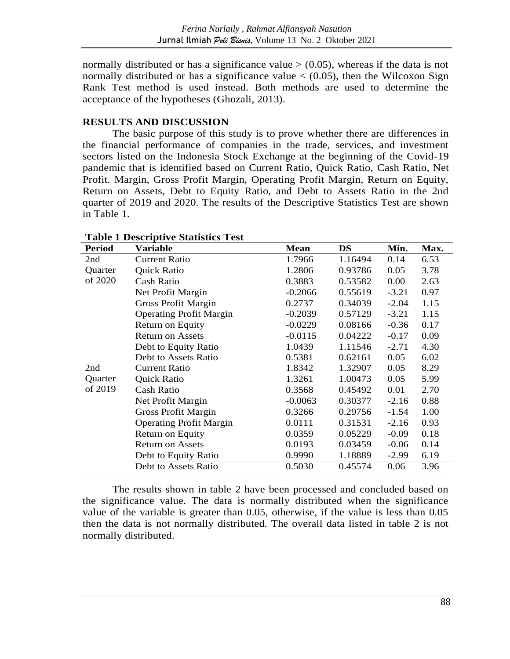normally distributed or has a significance value  $>$  (0.05), whereas if the data is not normally distributed or has a significance value  $\lt$  (0.05), then the Wilcoxon Sign Rank Test method is used instead. Both methods are used to determine the acceptance of the hypotheses (Ghozali, 2013).

# **RESULTS AND DISCUSSION**

The basic purpose of this study is to prove whether there are differences in the financial performance of companies in the trade, services, and investment sectors listed on the Indonesia Stock Exchange at the beginning of the Covid-19 pandemic that is identified based on Current Ratio, Quick Ratio, Cash Ratio, Net Profit. Margin, Gross Profit Margin, Operating Profit Margin, Return on Equity, Return on Assets, Debt to Equity Ratio, and Debt to Assets Ratio in the 2nd quarter of 2019 and 2020. The results of the Descriptive Statistics Test are shown in Table 1.

| <b>Period</b>             | Variable                       | <b>Mean</b> | <b>DS</b> | Min.    | Max. |
|---------------------------|--------------------------------|-------------|-----------|---------|------|
| 2nd                       | <b>Current Ratio</b>           | 1.7966      | 1.16494   | 0.14    | 6.53 |
| Quarter<br>of 2020        | Quick Ratio                    | 1.2806      | 0.93786   | 0.05    | 3.78 |
|                           | <b>Cash Ratio</b>              | 0.3883      | 0.53582   | 0.00    | 2.63 |
|                           | Net Profit Margin              | $-0.2066$   | 0.55619   | $-3.21$ | 0.97 |
| 2nd<br>Quarter<br>of 2019 | <b>Gross Profit Margin</b>     | 0.2737      | 0.34039   | $-2.04$ | 1.15 |
|                           | <b>Operating Profit Margin</b> | $-0.2039$   | 0.57129   | $-3.21$ | 1.15 |
|                           | Return on Equity               | $-0.0229$   | 0.08166   | $-0.36$ | 0.17 |
|                           | <b>Return on Assets</b>        | $-0.0115$   | 0.04222   | $-0.17$ | 0.09 |
|                           | Debt to Equity Ratio           | 1.0439      | 1.11546   | $-2.71$ | 4.30 |
|                           | Debt to Assets Ratio           | 0.5381      | 0.62161   | 0.05    | 6.02 |
|                           | <b>Current Ratio</b>           | 1.8342      | 1.32907   | 0.05    | 8.29 |
|                           | Quick Ratio                    | 1.3261      | 1.00473   | 0.05    | 5.99 |
|                           | <b>Cash Ratio</b>              | 0.3568      | 0.45492   | 0.01    | 2.70 |
|                           | Net Profit Margin              | $-0.0063$   | 0.30377   | $-2.16$ | 0.88 |
|                           | <b>Gross Profit Margin</b>     | 0.3266      | 0.29756   | $-1.54$ | 1.00 |
|                           | <b>Operating Profit Margin</b> | 0.0111      | 0.31531   | $-2.16$ | 0.93 |
|                           | Return on Equity               | 0.0359      | 0.05229   | $-0.09$ | 0.18 |
|                           | <b>Return on Assets</b>        | 0.0193      | 0.03459   | $-0.06$ | 0.14 |
|                           | Debt to Equity Ratio           | 0.9990      | 1.18889   | $-2.99$ | 6.19 |
|                           | Debt to Assets Ratio           | 0.5030      | 0.45574   | 0.06    | 3.96 |

**Table 1 Descriptive Statistics Test**

The results shown in table 2 have been processed and concluded based on the significance value. The data is normally distributed when the significance value of the variable is greater than 0.05, otherwise, if the value is less than 0.05 then the data is not normally distributed. The overall data listed in table 2 is not normally distributed.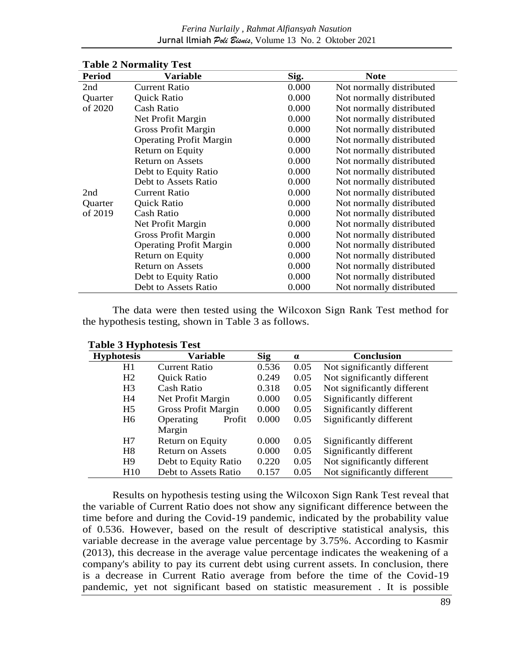#### *Ferina Nurlaily , Rahmat Alfiansyah Nasution* Jurnal Ilmiah *Poli Bisnis*, Volume 13 No. 2 Oktober 2021

| <b>Period</b> | $\mathbf{r}$ and $\mathbf{r}$ and $\mathbf{r}$<br><b>Variable</b> | Sig.  | <b>Note</b>              |  |
|---------------|-------------------------------------------------------------------|-------|--------------------------|--|
| 2nd           | <b>Current Ratio</b>                                              | 0.000 | Not normally distributed |  |
| Quarter       | <b>Quick Ratio</b>                                                | 0.000 | Not normally distributed |  |
| of 2020       | <b>Cash Ratio</b>                                                 | 0.000 | Not normally distributed |  |
|               | Net Profit Margin                                                 | 0.000 | Not normally distributed |  |
|               | <b>Gross Profit Margin</b>                                        | 0.000 | Not normally distributed |  |
|               | <b>Operating Profit Margin</b>                                    | 0.000 | Not normally distributed |  |
|               | Return on Equity                                                  | 0.000 | Not normally distributed |  |
|               | <b>Return on Assets</b>                                           | 0.000 | Not normally distributed |  |
|               | Debt to Equity Ratio                                              | 0.000 | Not normally distributed |  |
|               | Debt to Assets Ratio                                              | 0.000 | Not normally distributed |  |
| 2nd           | <b>Current Ratio</b>                                              | 0.000 | Not normally distributed |  |
| Quarter       | Quick Ratio                                                       | 0.000 | Not normally distributed |  |
| of 2019       | <b>Cash Ratio</b>                                                 | 0.000 | Not normally distributed |  |
|               | Net Profit Margin                                                 | 0.000 | Not normally distributed |  |
|               | <b>Gross Profit Margin</b>                                        | 0.000 | Not normally distributed |  |
|               | <b>Operating Profit Margin</b>                                    | 0.000 | Not normally distributed |  |
|               | Return on Equity                                                  | 0.000 | Not normally distributed |  |
|               | <b>Return on Assets</b>                                           | 0.000 | Not normally distributed |  |
|               | Debt to Equity Ratio                                              | 0.000 | Not normally distributed |  |
|               | Debt to Assets Ratio                                              | 0.000 | Not normally distributed |  |

## **Table 2 Normality Test**

The data were then tested using the Wilcoxon Sign Rank Test method for the hypothesis testing, shown in Table 3 as follows.

| <b>Hyphotesis</b>          | <b>Variable</b>            | <b>Sig</b> | $\alpha$ | <b>Conclusion</b>           |
|----------------------------|----------------------------|------------|----------|-----------------------------|
| H1<br><b>Current Ratio</b> |                            | 0.536      | 0.05     | Not significantly different |
| H <sub>2</sub>             | <b>Quick Ratio</b>         | 0.249      | 0.05     | Not significantly different |
| H <sub>3</sub>             | <b>Cash Ratio</b>          |            | 0.05     | Not significantly different |
| H4                         | Net Profit Margin          | 0.000      | 0.05     | Significantly different     |
| H <sub>5</sub>             | <b>Gross Profit Margin</b> | 0.000      | 0.05     | Significantly different     |
| H <sub>6</sub>             | Operating<br>Profit        | 0.000      | 0.05     | Significantly different     |
|                            | Margin                     |            |          |                             |
| H7                         | Return on Equity           | 0.000      | 0.05     | Significantly different     |
| H <sub>8</sub>             | <b>Return on Assets</b>    | 0.000      | 0.05     | Significantly different     |
| H <sub>9</sub>             | Debt to Equity Ratio       | 0.220      | 0.05     | Not significantly different |
| H10                        | Debt to Assets Ratio       | 0.157      | 0.05     | Not significantly different |

Results on hypothesis testing using the Wilcoxon Sign Rank Test reveal that the variable of Current Ratio does not show any significant difference between the time before and during the Covid-19 pandemic, indicated by the probability value of 0.536. However, based on the result of descriptive statistical analysis, this variable decrease in the average value percentage by 3.75%. According to Kasmir (2013), this decrease in the average value percentage indicates the weakening of a company's ability to pay its current debt using current assets. In conclusion, there is a decrease in Current Ratio average from before the time of the Covid-19 pandemic, yet not significant based on statistic measurement . It is possible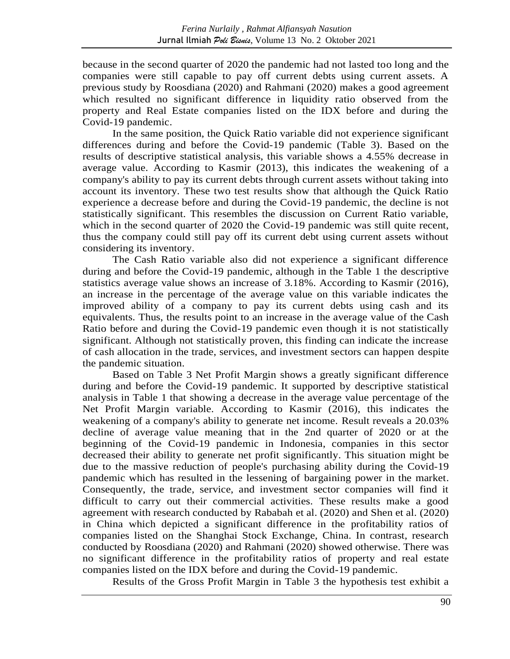because in the second quarter of 2020 the pandemic had not lasted too long and the companies were still capable to pay off current debts using current assets. A previous study by Roosdiana (2020) and Rahmani (2020) makes a good agreement which resulted no significant difference in liquidity ratio observed from the property and Real Estate companies listed on the IDX before and during the Covid-19 pandemic.

In the same position, the Quick Ratio variable did not experience significant differences during and before the Covid-19 pandemic (Table 3). Based on the results of descriptive statistical analysis, this variable shows a 4.55% decrease in average value. According to Kasmir (2013), this indicates the weakening of a company's ability to pay its current debts through current assets without taking into account its inventory. These two test results show that although the Quick Ratio experience a decrease before and during the Covid-19 pandemic, the decline is not statistically significant. This resembles the discussion on Current Ratio variable, which in the second quarter of 2020 the Covid-19 pandemic was still quite recent, thus the company could still pay off its current debt using current assets without considering its inventory.

The Cash Ratio variable also did not experience a significant difference during and before the Covid-19 pandemic, although in the Table 1 the descriptive statistics average value shows an increase of 3.18%. According to Kasmir (2016), an increase in the percentage of the average value on this variable indicates the improved ability of a company to pay its current debts using cash and its equivalents. Thus, the results point to an increase in the average value of the Cash Ratio before and during the Covid-19 pandemic even though it is not statistically significant. Although not statistically proven, this finding can indicate the increase of cash allocation in the trade, services, and investment sectors can happen despite the pandemic situation.

Based on Table 3 Net Profit Margin shows a greatly significant difference during and before the Covid-19 pandemic. It supported by descriptive statistical analysis in Table 1 that showing a decrease in the average value percentage of the Net Profit Margin variable. According to Kasmir (2016), this indicates the weakening of a company's ability to generate net income. Result reveals a 20.03% decline of average value meaning that in the 2nd quarter of 2020 or at the beginning of the Covid-19 pandemic in Indonesia, companies in this sector decreased their ability to generate net profit significantly. This situation might be due to the massive reduction of people's purchasing ability during the Covid-19 pandemic which has resulted in the lessening of bargaining power in the market. Consequently, the trade, service, and investment sector companies will find it difficult to carry out their commercial activities. These results make a good agreement with research conducted by Rababah et al. (2020) and Shen et al. (2020) in China which depicted a significant difference in the profitability ratios of companies listed on the Shanghai Stock Exchange, China. In contrast, research conducted by Roosdiana (2020) and Rahmani (2020) showed otherwise. There was no significant difference in the profitability ratios of property and real estate companies listed on the IDX before and during the Covid-19 pandemic.

Results of the Gross Profit Margin in Table 3 the hypothesis test exhibit a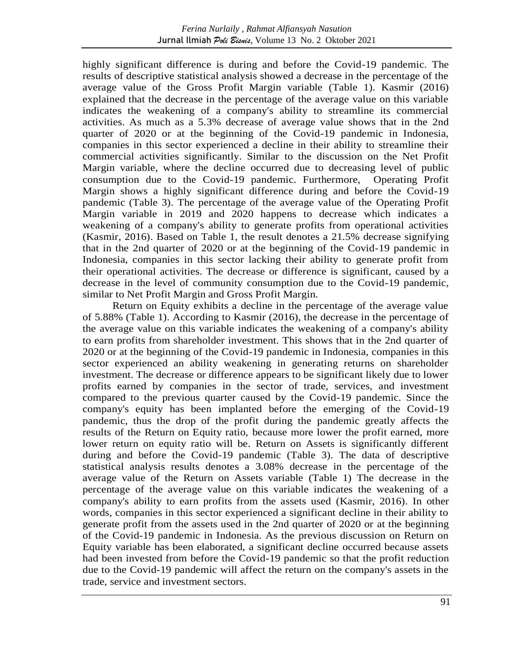highly significant difference is during and before the Covid-19 pandemic. The results of descriptive statistical analysis showed a decrease in the percentage of the average value of the Gross Profit Margin variable (Table 1). Kasmir (2016) explained that the decrease in the percentage of the average value on this variable indicates the weakening of a company's ability to streamline its commercial activities. As much as a 5.3% decrease of average value shows that in the 2nd quarter of 2020 or at the beginning of the Covid-19 pandemic in Indonesia, companies in this sector experienced a decline in their ability to streamline their commercial activities significantly. Similar to the discussion on the Net Profit Margin variable, where the decline occurred due to decreasing level of public consumption due to the Covid-19 pandemic. Furthermore, Operating Profit Margin shows a highly significant difference during and before the Covid-19 pandemic (Table 3). The percentage of the average value of the Operating Profit Margin variable in 2019 and 2020 happens to decrease which indicates a weakening of a company's ability to generate profits from operational activities (Kasmir, 2016). Based on Table 1, the result denotes a 21.5% decrease signifying that in the 2nd quarter of 2020 or at the beginning of the Covid-19 pandemic in Indonesia, companies in this sector lacking their ability to generate profit from their operational activities. The decrease or difference is significant, caused by a decrease in the level of community consumption due to the Covid-19 pandemic, similar to Net Profit Margin and Gross Profit Margin.

Return on Equity exhibits a decline in the percentage of the average value of 5.88% (Table 1). According to Kasmir (2016), the decrease in the percentage of the average value on this variable indicates the weakening of a company's ability to earn profits from shareholder investment. This shows that in the 2nd quarter of 2020 or at the beginning of the Covid-19 pandemic in Indonesia, companies in this sector experienced an ability weakening in generating returns on shareholder investment. The decrease or difference appears to be significant likely due to lower profits earned by companies in the sector of trade, services, and investment compared to the previous quarter caused by the Covid-19 pandemic. Since the company's equity has been implanted before the emerging of the Covid-19 pandemic, thus the drop of the profit during the pandemic greatly affects the results of the Return on Equity ratio, because more lower the profit earned, more lower return on equity ratio will be. Return on Assets is significantly different during and before the Covid-19 pandemic (Table 3). The data of descriptive statistical analysis results denotes a 3.08% decrease in the percentage of the average value of the Return on Assets variable (Table 1) The decrease in the percentage of the average value on this variable indicates the weakening of a company's ability to earn profits from the assets used (Kasmir, 2016). In other words, companies in this sector experienced a significant decline in their ability to generate profit from the assets used in the 2nd quarter of 2020 or at the beginning of the Covid-19 pandemic in Indonesia. As the previous discussion on Return on Equity variable has been elaborated, a significant decline occurred because assets had been invested from before the Covid-19 pandemic so that the profit reduction due to the Covid-19 pandemic will affect the return on the company's assets in the trade, service and investment sectors.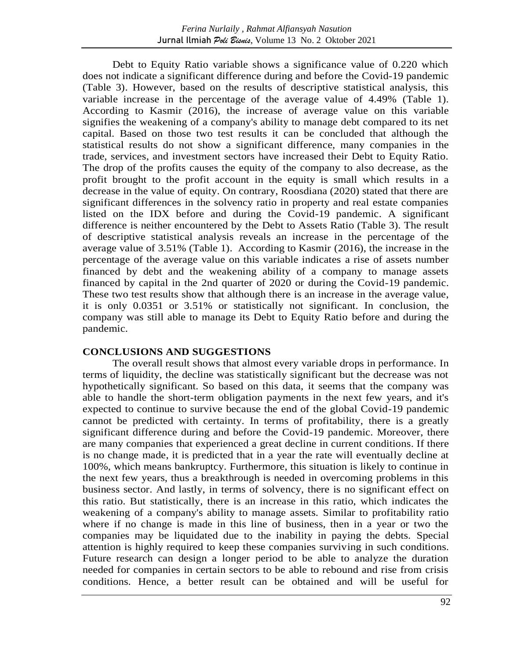Debt to Equity Ratio variable shows a significance value of 0.220 which does not indicate a significant difference during and before the Covid-19 pandemic (Table 3). However, based on the results of descriptive statistical analysis, this variable increase in the percentage of the average value of 4.49% (Table 1). According to Kasmir (2016), the increase of average value on this variable signifies the weakening of a company's ability to manage debt compared to its net capital. Based on those two test results it can be concluded that although the statistical results do not show a significant difference, many companies in the trade, services, and investment sectors have increased their Debt to Equity Ratio. The drop of the profits causes the equity of the company to also decrease, as the profit brought to the profit account in the equity is small which results in a decrease in the value of equity. On contrary, Roosdiana (2020) stated that there are significant differences in the solvency ratio in property and real estate companies listed on the IDX before and during the Covid-19 pandemic. A significant difference is neither encountered by the Debt to Assets Ratio (Table 3). The result of descriptive statistical analysis reveals an increase in the percentage of the average value of 3.51% (Table 1). According to Kasmir (2016), the increase in the percentage of the average value on this variable indicates a rise of assets number financed by debt and the weakening ability of a company to manage assets financed by capital in the 2nd quarter of 2020 or during the Covid-19 pandemic. These two test results show that although there is an increase in the average value, it is only 0.0351 or 3.51% or statistically not significant. In conclusion, the company was still able to manage its Debt to Equity Ratio before and during the pandemic.

## **CONCLUSIONS AND SUGGESTIONS**

The overall result shows that almost every variable drops in performance. In terms of liquidity, the decline was statistically significant but the decrease was not hypothetically significant. So based on this data, it seems that the company was able to handle the short-term obligation payments in the next few years, and it's expected to continue to survive because the end of the global Covid-19 pandemic cannot be predicted with certainty. In terms of profitability, there is a greatly significant difference during and before the Covid-19 pandemic. Moreover, there are many companies that experienced a great decline in current conditions. If there is no change made, it is predicted that in a year the rate will eventually decline at 100%, which means bankruptcy. Furthermore, this situation is likely to continue in the next few years, thus a breakthrough is needed in overcoming problems in this business sector. And lastly, in terms of solvency, there is no significant effect on this ratio. But statistically, there is an increase in this ratio, which indicates the weakening of a company's ability to manage assets. Similar to profitability ratio where if no change is made in this line of business, then in a year or two the companies may be liquidated due to the inability in paying the debts. Special attention is highly required to keep these companies surviving in such conditions. Future research can design a longer period to be able to analyze the duration needed for companies in certain sectors to be able to rebound and rise from crisis conditions. Hence, a better result can be obtained and will be useful for